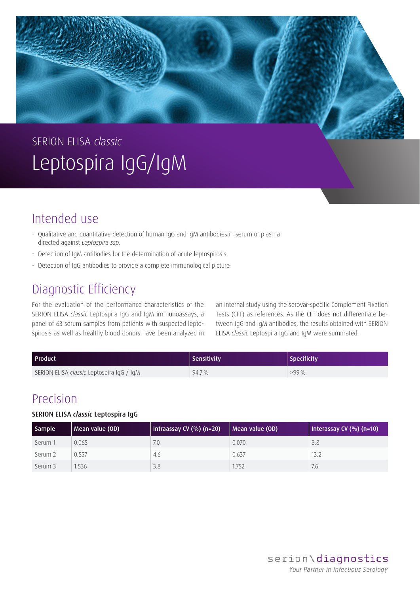# SERION ELISA *classic* Leptospira IgG/IgM

# Intended use

- Qualitative and quantitative detection of human IgG and IgM antibodies in serum or plasma directed against *Leptospira ssp.*
- Detection of IgM antibodies for the determination of acute leptospirosis
- Detection of IgG antibodies to provide a complete immunological picture

## Diagnostic Efficiency

For the evaluation of the performance characteristics of the SERION ELISA *classic* Leptospira IgG and IgM immunoassays, a panel of 63 serum samples from patients with suspected leptospirosis as well as healthy blood donors have been analyzed in an internal study using the serovar-specific Complement Fixation Tests (CFT) as references. As the CFT does not differentiate between IgG and IgM antibodies, the results obtained with SERION ELISA *classic* Leptospira IgG and IgM were summated.

| Product                                          | Sensitivity | <b>Specificity</b> |
|--------------------------------------------------|-------------|--------------------|
| SERION ELISA <i>classic</i> Leptospira IgG / IgM | 94.7%       | $>99\%$            |

### Precision

#### SERION ELISA *classic* Leptospira IgG

| <b>Sample</b> | Mean value (OD) | Intraassay CV (%) (n=20) | Mean value (OD) | Interassay CV (%) (n=10) |
|---------------|-----------------|--------------------------|-----------------|--------------------------|
| Serum 1       | 0.065           | 7.0                      | 0.070           | 8.8                      |
| Serum 2       | 0.557           | 4.6                      | 0.637           | 13.2                     |
| Serum 3       | 1.536           | 3.8                      | 1.752           | 7.6                      |